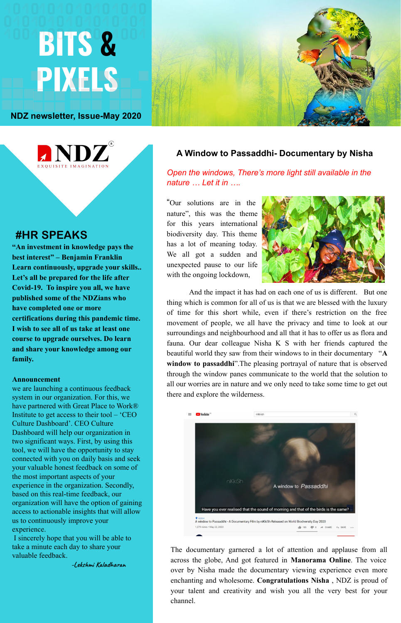# **BITS & PIXELS**



## **#HR SPEAKS**

**"An investment in knowledge pays the best interest" – Benjamin Franklin Learn continuously, upgrade your skills.. Let's all be prepared for the life after Covid-19. To inspire you all, we have published some of the NDZians who have completed one or more certifications during this pandemic time. I wish to see all of us take at least one course to upgrade ourselves. Do learn and share your knowledge among our family.** 

#### **Announcement**

we are launching a continuous feedback system in our organization. For this, we have partnered with Great Place to Work® Institute to get access to their tool – 'CEO Culture Dashboard'. CEO Culture Dashboard will help our organization in two significant ways. First, by using this tool, we will have the opportunity to stay connected with you on daily basis and seek your valuable honest feedback on some of the most important aspects of your experience in the organization. Secondly, based on this real-time feedback, our organization will have the option of gaining access to actionable insights that will allow us to continuously improve your experience.

 I sincerely hope that you will be able to take a minute each day to share your valuable feedback.

**-Lekshmi Kaladharan**

#### **A Window to Passaddhi- Documentary by Nisha**

#### *Open the windows, There's more light still available in the nature … Let it in ….*

"Our solutions are in the nature", this was the theme for this years international biodiversity day. This theme has a lot of meaning today. We all got a sudden and unexpected pause to our life with the ongoing lockdown,



And the impact it has had on each one of us is different. But one thing which is common for all of us is that we are blessed with the luxury of time for this short while, even if there's restriction on the free movement of people, we all have the privacy and time to look at our surroundings and neighbourhood and all that it has to offer us as flora and fauna. Our dear colleague Nisha K S with her friends captured the beautiful world they saw from their windows to in their documentary "**A window to passaddhi**".The pleasing portrayal of nature that is observed through the window panes communicate to the world that the solution to all our worries are in nature and we only need to take some time to get out there and explore the wilderness.



The documentary garnered a lot of attention and applause from all across the globe, And got featured in **Manorama Online**. The voice over by Nisha made the documentary viewing experience even more enchanting and wholesome. **Congratulations Nisha** , NDZ is proud of your talent and creativity and wish you all the very best for your channel.